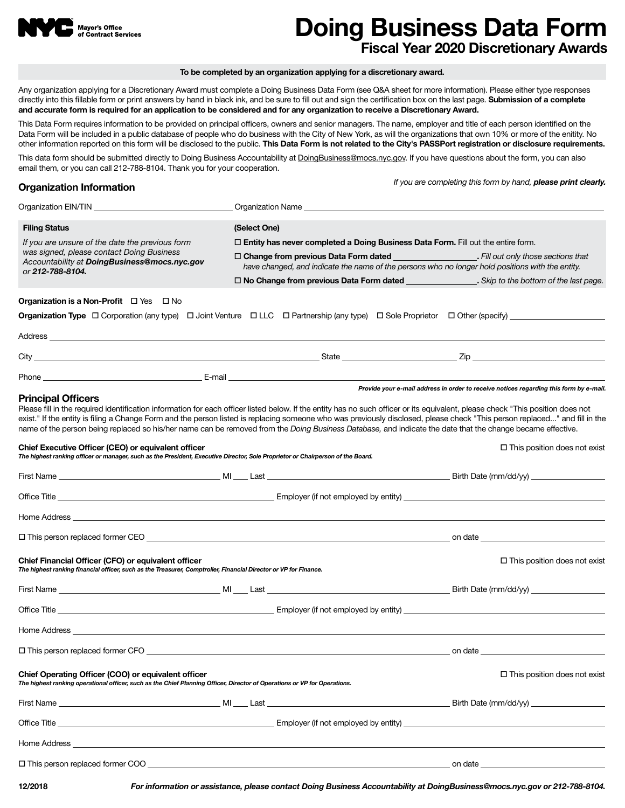

# **Doing Business Data Form Fiscal Year 2020 Discretionary Awards**

#### **To be completed by an organization applying for a discretionary award.**

Any organization applying for a Discretionary Award must complete a Doing Business Data Form (see Q&A sheet for more information). Please either type responses directly into this fillable form or print answers by hand in black ink, and be sure to fill out and sign the certification box on the last page. **Submission of a complete and accurate form is required for an application to be considered and for any organization to receive a Discretionary Award.**

This Data Form requires information to be provided on principal officers, owners and senior managers. The name, employer and title of each person identified on the Data Form will be included in a public database of people who do business with the City of New York, as will the organizations that own 10% or more of the enitity. No other information reported on this form will be disclosed to the public. **This Data Form is not related to the City's PASSPort registration or disclosure requirements.**

This data form should be submitted directly to Doing Business Accountability at DoingBusiness@mocs.nyc.gov. If you have questions about the form, you can also email them, or you can call 212-788-8104. Thank you for your cooperation.

## **Organization Information**

*If you are completing this form by hand, please print clearly.*

| <b>Filing Status</b>                                                                                                                                                                    | (Select One) |                                                                                                                                                                                          |                                                                                                                                                                                                                                                                                                                                                               |  |  |
|-----------------------------------------------------------------------------------------------------------------------------------------------------------------------------------------|--------------|------------------------------------------------------------------------------------------------------------------------------------------------------------------------------------------|---------------------------------------------------------------------------------------------------------------------------------------------------------------------------------------------------------------------------------------------------------------------------------------------------------------------------------------------------------------|--|--|
| If you are unsure of the date the previous form<br>was signed, please contact Doing Business<br>Accountability at DoingBusiness@mocs.nyc.gov<br>or 212-788-8104.                        |              | $\Box$ Entity has never completed a Doing Business Data Form. Fill out the entire form.                                                                                                  |                                                                                                                                                                                                                                                                                                                                                               |  |  |
|                                                                                                                                                                                         |              | $\Box$ Change from previous Data Form dated $\Box$ Fill out only those sections that<br>have changed, and indicate the name of the persons who no longer hold positions with the entity. |                                                                                                                                                                                                                                                                                                                                                               |  |  |
|                                                                                                                                                                                         |              |                                                                                                                                                                                          | □ No Change from previous Data Form dated __________________. Skip to the bottom of the last page.                                                                                                                                                                                                                                                            |  |  |
| <b>Organization is a Non-Profit</b> $\Box$ Yes $\Box$ No                                                                                                                                |              |                                                                                                                                                                                          |                                                                                                                                                                                                                                                                                                                                                               |  |  |
|                                                                                                                                                                                         |              |                                                                                                                                                                                          |                                                                                                                                                                                                                                                                                                                                                               |  |  |
|                                                                                                                                                                                         |              |                                                                                                                                                                                          |                                                                                                                                                                                                                                                                                                                                                               |  |  |
|                                                                                                                                                                                         |              |                                                                                                                                                                                          |                                                                                                                                                                                                                                                                                                                                                               |  |  |
|                                                                                                                                                                                         |              |                                                                                                                                                                                          |                                                                                                                                                                                                                                                                                                                                                               |  |  |
|                                                                                                                                                                                         |              |                                                                                                                                                                                          | Provide your e-mail address in order to receive notices regarding this form by e-mail.                                                                                                                                                                                                                                                                        |  |  |
| <b>Principal Officers</b><br>name of the person being replaced so his/her name can be removed from the Doing Business Database, and indicate the date that the change became effective. |              |                                                                                                                                                                                          | Please fill in the required identification information for each officer listed below. If the entity has no such officer or its equivalent, please check "This position does not<br>exist." If the entity is filing a Change Form and the person listed is replacing someone who was previously disclosed, please check "This person replaced" and fill in the |  |  |
| Chief Executive Officer (CEO) or equivalent officer<br>The highest ranking officer or manager, such as the President, Executive Director, Sole Proprietor or Chairperson of the Board.  |              |                                                                                                                                                                                          | $\Box$ This position does not exist                                                                                                                                                                                                                                                                                                                           |  |  |
|                                                                                                                                                                                         |              |                                                                                                                                                                                          |                                                                                                                                                                                                                                                                                                                                                               |  |  |
|                                                                                                                                                                                         |              |                                                                                                                                                                                          |                                                                                                                                                                                                                                                                                                                                                               |  |  |
|                                                                                                                                                                                         |              |                                                                                                                                                                                          |                                                                                                                                                                                                                                                                                                                                                               |  |  |
|                                                                                                                                                                                         |              |                                                                                                                                                                                          |                                                                                                                                                                                                                                                                                                                                                               |  |  |
| Chief Financial Officer (CFO) or equivalent officer<br>The highest ranking financial officer, such as the Treasurer, Comptroller, Financial Director or VP for Finance.                 |              |                                                                                                                                                                                          | $\Box$ This position does not exist                                                                                                                                                                                                                                                                                                                           |  |  |
|                                                                                                                                                                                         |              |                                                                                                                                                                                          |                                                                                                                                                                                                                                                                                                                                                               |  |  |
|                                                                                                                                                                                         |              |                                                                                                                                                                                          |                                                                                                                                                                                                                                                                                                                                                               |  |  |
|                                                                                                                                                                                         |              |                                                                                                                                                                                          |                                                                                                                                                                                                                                                                                                                                                               |  |  |
| $\square$ This person replaced former CFO                                                                                                                                               |              |                                                                                                                                                                                          | on date                                                                                                                                                                                                                                                                                                                                                       |  |  |
| Chief Operating Officer (COO) or equivalent officer<br>The highest ranking operational officer, such as the Chief Planning Officer, Director of Operations or VP for Operations.        |              |                                                                                                                                                                                          | $\Box$ This position does not exist                                                                                                                                                                                                                                                                                                                           |  |  |
|                                                                                                                                                                                         |              |                                                                                                                                                                                          |                                                                                                                                                                                                                                                                                                                                                               |  |  |
| Office Title <b>Example 2008</b> Computer of the Employer (if not employed by entity)                                                                                                   |              |                                                                                                                                                                                          |                                                                                                                                                                                                                                                                                                                                                               |  |  |
|                                                                                                                                                                                         |              |                                                                                                                                                                                          |                                                                                                                                                                                                                                                                                                                                                               |  |  |
|                                                                                                                                                                                         |              |                                                                                                                                                                                          |                                                                                                                                                                                                                                                                                                                                                               |  |  |
|                                                                                                                                                                                         |              |                                                                                                                                                                                          |                                                                                                                                                                                                                                                                                                                                                               |  |  |

**12/2018** *For information or assistance, please contact Doing Business Accountability at DoingBusiness@mocs.nyc.gov or 212-788-8104.*